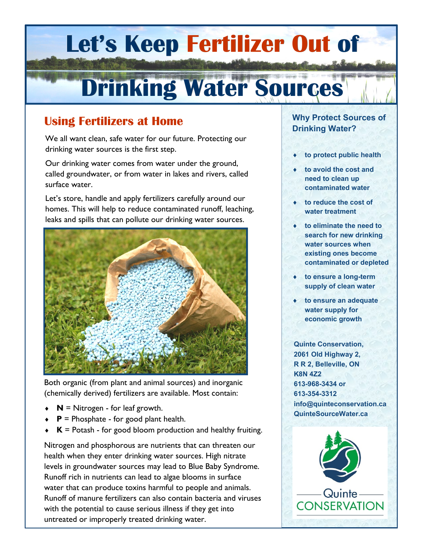## **Let's Keep Fertilizer Out of**

# **Drinking Water Sources**

## **Using Fertilizers at Home**

We all want clean, safe water for our future. Protecting our drinking water sources is the first step.

Our drinking water comes from water under the ground, called groundwater, or from water in lakes and rivers, called surface water.

Let's store, handle and apply fertilizers carefully around our homes. This will help to reduce contaminated runoff, leaching, leaks and spills that can pollute our drinking water sources.



Both organic (from plant and animal sources) and inorganic (chemically derived) fertilizers are available. Most contain:

- $\bullet$  **N** = Nitrogen for leaf growth.
- $\bullet$  **P** = Phosphate for good plant health.
- $\star$  **K** = Potash for good bloom production and healthy fruiting.

Nitrogen and phosphorous are nutrients that can threaten our health when they enter drinking water sources. High nitrate levels in groundwater sources may lead to Blue Baby Syndrome. Runoff rich in nutrients can lead to algae blooms in surface water that can produce toxins harmful to people and animals. Runoff of manure fertilizers can also contain bacteria and viruses with the potential to cause serious illness if they get into untreated or improperly treated drinking water.

#### **Why Protect Sources of Drinking Water?**

- **to protect public health**
- **to avoid the cost and need to clean up contaminated water**
- **to reduce the cost of water treatment**
- **to eliminate the need to search for new drinking water sources when existing ones become contaminated or depleted**
- **to ensure a long-term supply of clean water**
- **to ensure an adequate water supply for economic growth**

**Quinte Conservation, 2061 Old Highway 2, R R 2, Belleville, ON K8N 4Z2 613-968-3434 or 613-354-3312 info@quinteconservation.ca QuinteSourceWater.ca**